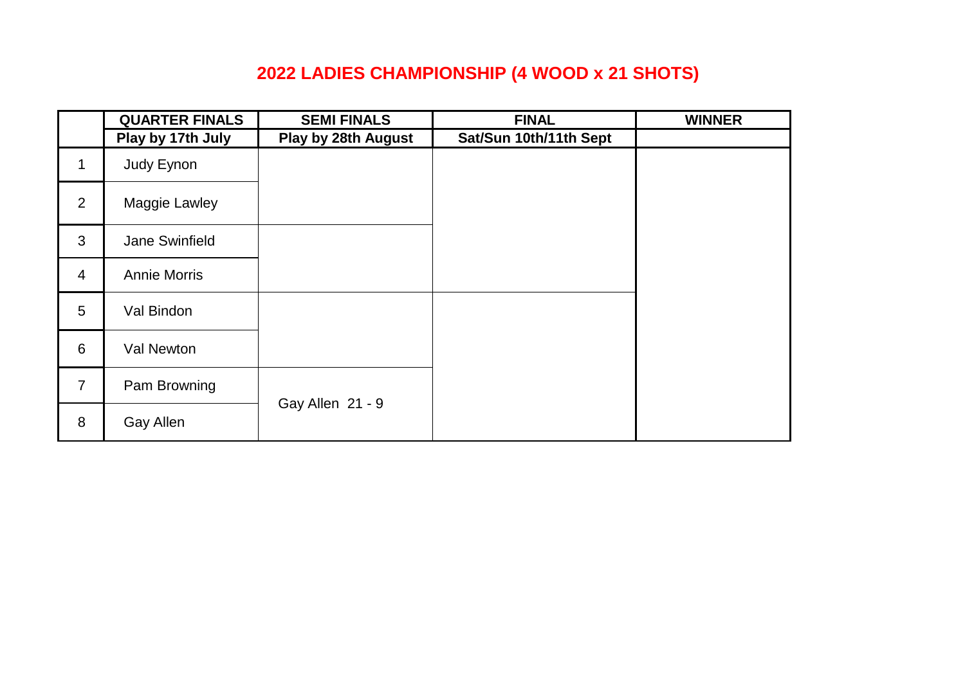## **2022 LADIES CHAMPIONSHIP (4 WOOD x 21 SHOTS)**

|                | <b>QUARTER FINALS</b> | <b>SEMI FINALS</b>  | <b>FINAL</b>           | <b>WINNER</b> |
|----------------|-----------------------|---------------------|------------------------|---------------|
|                | Play by 17th July     | Play by 28th August | Sat/Sun 10th/11th Sept |               |
| $\mathbf{1}$   | Judy Eynon            |                     |                        |               |
| $\overline{2}$ | Maggie Lawley         |                     |                        |               |
| 3              | Jane Swinfield        |                     |                        |               |
| $\overline{4}$ | <b>Annie Morris</b>   |                     |                        |               |
| 5              | Val Bindon            |                     |                        |               |
| 6              | Val Newton            |                     |                        |               |
| $\overline{7}$ | Pam Browning          |                     |                        |               |
| 8              | Gay Allen             | Gay Allen 21 - 9    |                        |               |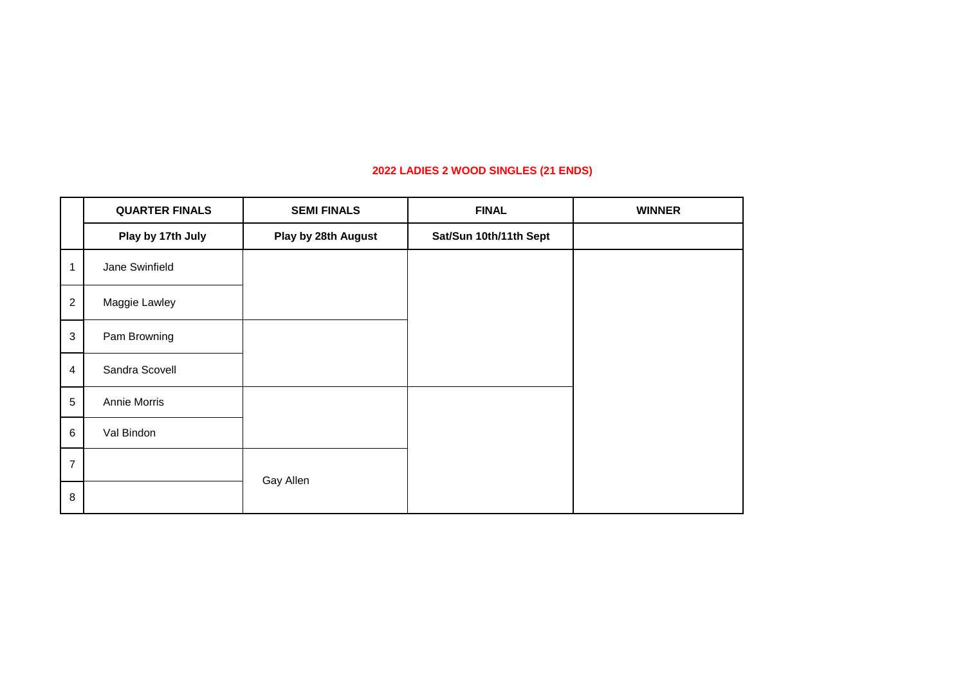#### **2022 LADIES 2 WOOD SINGLES (21 ENDS)**

|                | <b>QUARTER FINALS</b> | <b>SEMI FINALS</b>  | <b>FINAL</b>           | <b>WINNER</b> |
|----------------|-----------------------|---------------------|------------------------|---------------|
|                | Play by 17th July     | Play by 28th August | Sat/Sun 10th/11th Sept |               |
| 1              | Jane Swinfield        |                     |                        |               |
| $\overline{c}$ | Maggie Lawley         |                     |                        |               |
| 3              | Pam Browning          |                     |                        |               |
| 4              | Sandra Scovell        |                     |                        |               |
| 5              | Annie Morris          |                     |                        |               |
| 6              | Val Bindon            |                     |                        |               |
| $\overline{7}$ |                       | Gay Allen           |                        |               |
| 8              |                       |                     |                        |               |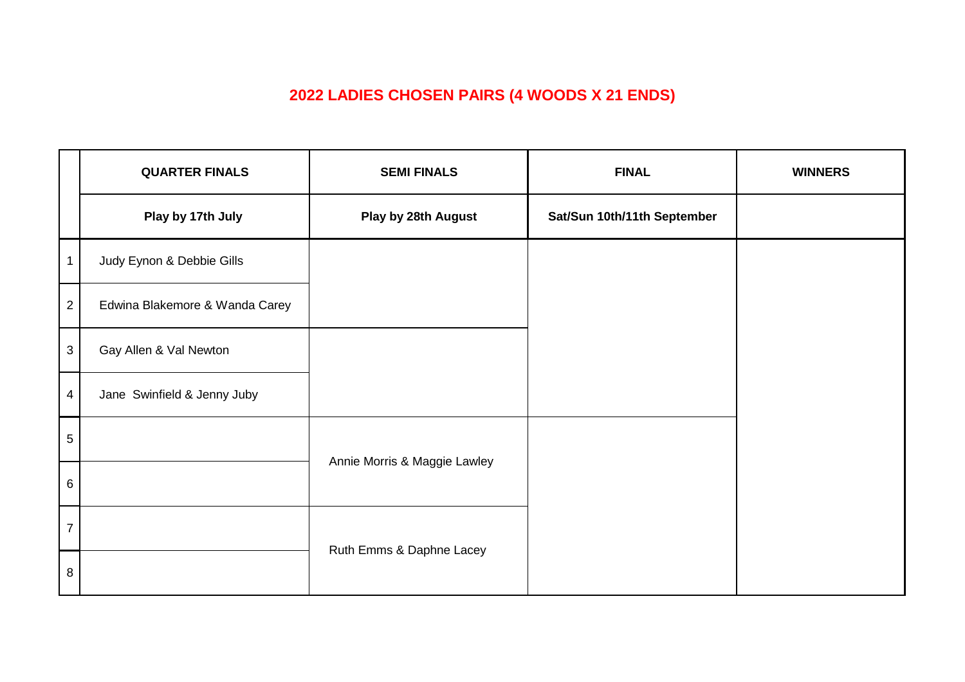## **2022 LADIES CHOSEN PAIRS (4 WOODS X 21 ENDS)**

|                 | <b>QUARTER FINALS</b>          | <b>SEMI FINALS</b>           | <b>FINAL</b>                | <b>WINNERS</b> |
|-----------------|--------------------------------|------------------------------|-----------------------------|----------------|
|                 | Play by 17th July              | Play by 28th August          | Sat/Sun 10th/11th September |                |
| -1              | Judy Eynon & Debbie Gills      |                              |                             |                |
| $\overline{2}$  | Edwina Blakemore & Wanda Carey |                              |                             |                |
| $\mathbf{3}$    | Gay Allen & Val Newton         |                              |                             |                |
| $\overline{4}$  | Jane Swinfield & Jenny Juby    |                              |                             |                |
| $\mathbf 5$     |                                | Annie Morris & Maggie Lawley |                             |                |
| $6\overline{6}$ |                                |                              |                             |                |
| $\overline{7}$  |                                |                              |                             |                |
| 8               |                                | Ruth Emms & Daphne Lacey     |                             |                |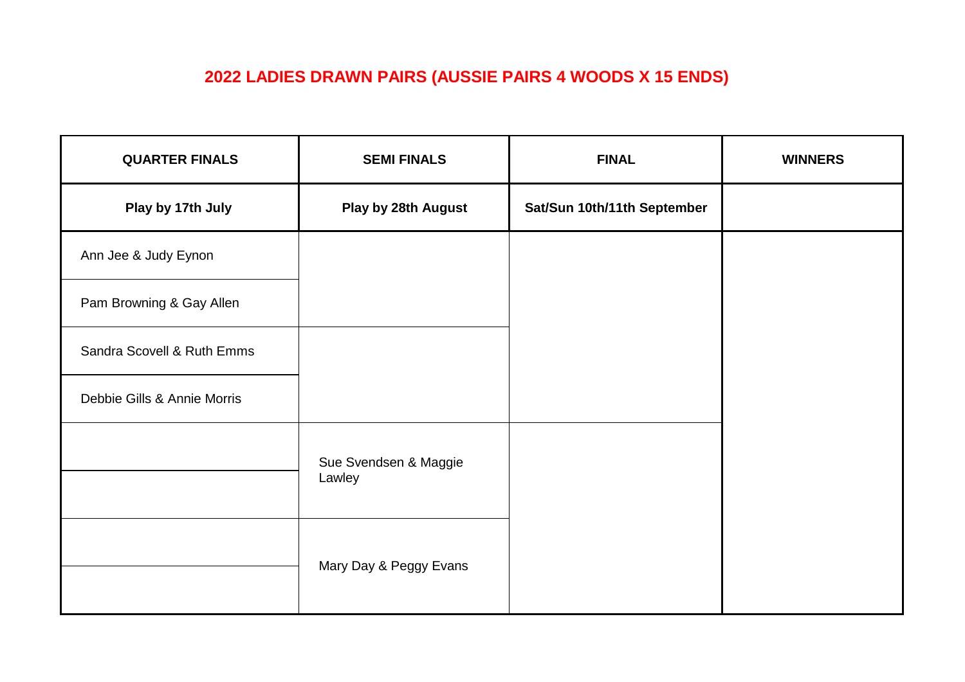## **2022 LADIES DRAWN PAIRS (AUSSIE PAIRS 4 WOODS X 15 ENDS)**

| <b>QUARTER FINALS</b>       | <b>SEMI FINALS</b>              | <b>FINAL</b>                | <b>WINNERS</b> |
|-----------------------------|---------------------------------|-----------------------------|----------------|
| Play by 17th July           | Play by 28th August             | Sat/Sun 10th/11th September |                |
| Ann Jee & Judy Eynon        |                                 |                             |                |
| Pam Browning & Gay Allen    |                                 |                             |                |
| Sandra Scovell & Ruth Emms  |                                 |                             |                |
| Debbie Gills & Annie Morris |                                 |                             |                |
|                             | Sue Svendsen & Maggie<br>Lawley |                             |                |
|                             | Mary Day & Peggy Evans          |                             |                |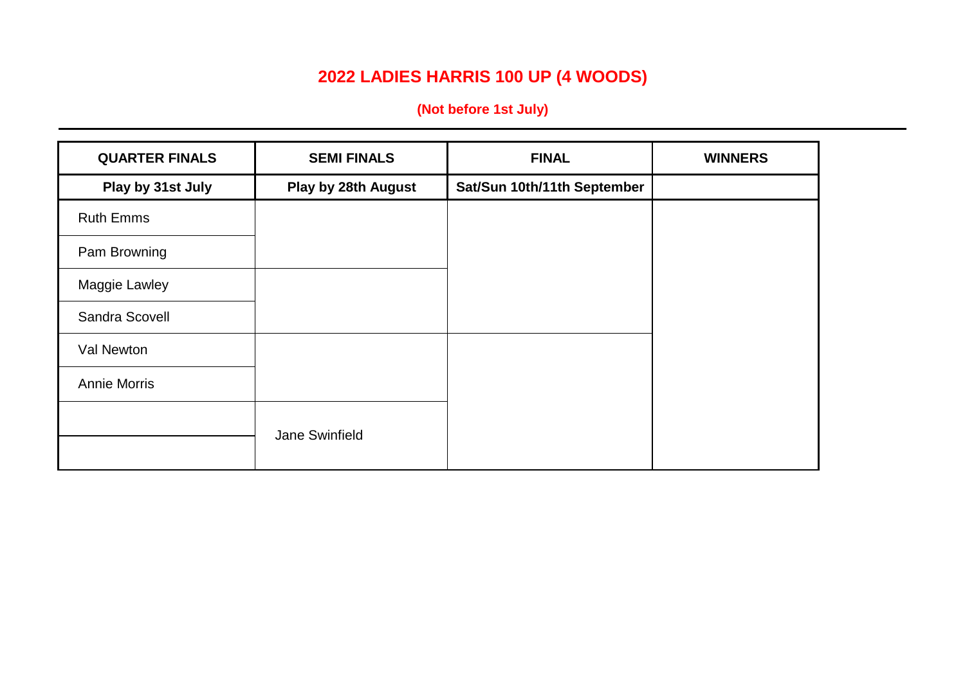# **2022 LADIES HARRIS 100 UP (4 WOODS)**

**(Not before 1st July)**

| <b>QUARTER FINALS</b> | <b>SEMI FINALS</b>  | <b>FINAL</b>                | <b>WINNERS</b> |
|-----------------------|---------------------|-----------------------------|----------------|
| Play by 31st July     | Play by 28th August | Sat/Sun 10th/11th September |                |
| <b>Ruth Emms</b>      |                     |                             |                |
| Pam Browning          |                     |                             |                |
| Maggie Lawley         |                     |                             |                |
| Sandra Scovell        |                     |                             |                |
| Val Newton            |                     |                             |                |
| <b>Annie Morris</b>   |                     |                             |                |
|                       | Jane Swinfield      |                             |                |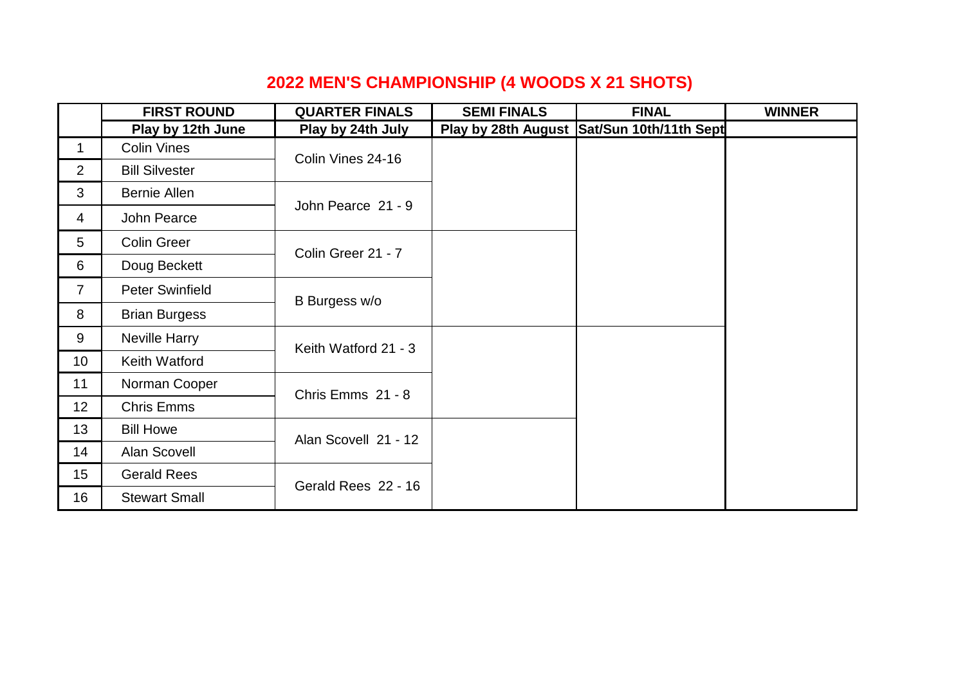## **2022 MEN'S CHAMPIONSHIP (4 WOODS X 21 SHOTS)**

|                 | <b>FIRST ROUND</b>     | <b>QUARTER FINALS</b> | <b>SEMI FINALS</b> | <b>FINAL</b>                               | <b>WINNER</b> |
|-----------------|------------------------|-----------------------|--------------------|--------------------------------------------|---------------|
|                 | Play by 12th June      | Play by 24th July     |                    | Play by 28th August Sat/Sun 10th/11th Sept |               |
| 1               | <b>Colin Vines</b>     | Colin Vines 24-16     |                    |                                            |               |
| $\overline{2}$  | <b>Bill Silvester</b>  |                       |                    |                                            |               |
| 3               | Bernie Allen           |                       |                    |                                            |               |
| 4               | John Pearce            | John Pearce 21 - 9    |                    |                                            |               |
| 5               | <b>Colin Greer</b>     | Colin Greer 21 - 7    |                    |                                            |               |
| 6               | Doug Beckett           |                       |                    |                                            |               |
| $\overline{7}$  | <b>Peter Swinfield</b> | B Burgess w/o         |                    |                                            |               |
| 8               | <b>Brian Burgess</b>   |                       |                    |                                            |               |
| 9               | Neville Harry          | Keith Watford 21 - 3  |                    |                                            |               |
| 10 <sup>°</sup> | Keith Watford          |                       |                    |                                            |               |
| 11              | Norman Cooper          | Chris Emms 21 - 8     |                    |                                            |               |
| 12              | <b>Chris Emms</b>      |                       |                    |                                            |               |
| 13              | <b>Bill Howe</b>       | Alan Scovell 21 - 12  |                    |                                            |               |
| 14              | Alan Scovell           |                       |                    |                                            |               |
| 15 <sub>1</sub> | <b>Gerald Rees</b>     | Gerald Rees 22 - 16   |                    |                                            |               |
| 16              | <b>Stewart Small</b>   |                       |                    |                                            |               |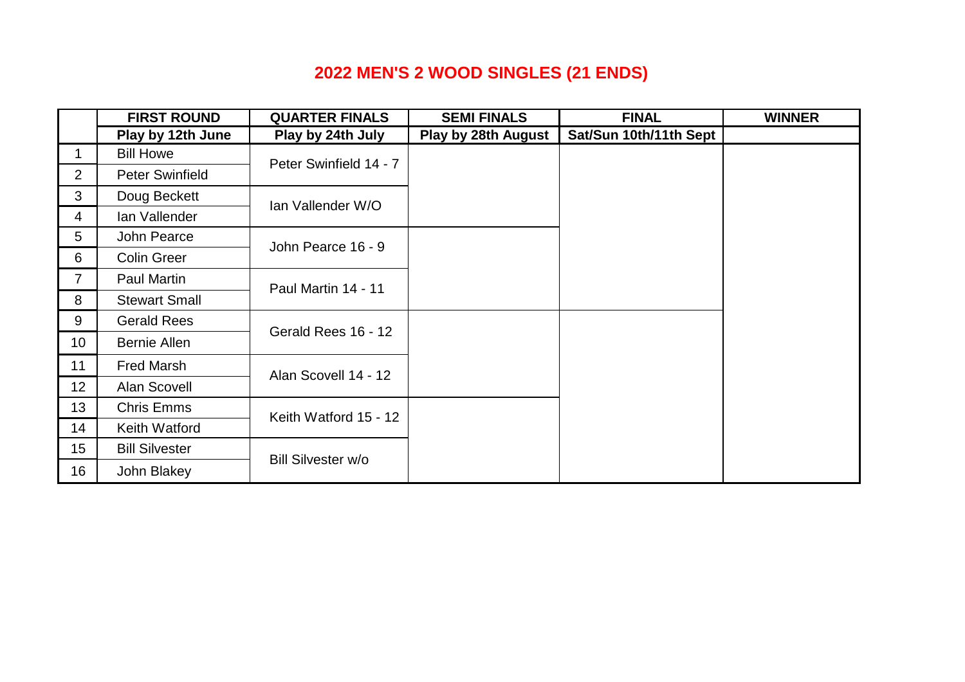# **2022 MEN'S 2 WOOD SINGLES (21 ENDS)**

|                  | <b>FIRST ROUND</b>     | <b>QUARTER FINALS</b>  | <b>SEMI FINALS</b>  | <b>FINAL</b>           | <b>WINNER</b> |
|------------------|------------------------|------------------------|---------------------|------------------------|---------------|
|                  | Play by 12th June      | Play by 24th July      | Play by 28th August | Sat/Sun 10th/11th Sept |               |
| 1                | <b>Bill Howe</b>       | Peter Swinfield 14 - 7 |                     |                        |               |
| $\overline{2}$   | <b>Peter Swinfield</b> |                        |                     |                        |               |
| 3                | Doug Beckett           | Ian Vallender W/O      |                     |                        |               |
| $\overline{4}$   | Ian Vallender          |                        |                     |                        |               |
| 5                | John Pearce            | John Pearce 16 - 9     |                     |                        |               |
| 6                | <b>Colin Greer</b>     |                        |                     |                        |               |
| $\overline{7}$   | Paul Martin            | Paul Martin 14 - 11    |                     |                        |               |
| 8                | <b>Stewart Small</b>   |                        |                     |                        |               |
| 9                | <b>Gerald Rees</b>     | Gerald Rees 16 - 12    |                     |                        |               |
| 10 <sup>°</sup>  | <b>Bernie Allen</b>    |                        |                     |                        |               |
| 11               | <b>Fred Marsh</b>      | Alan Scovell 14 - 12   |                     |                        |               |
| 12 <sup>2</sup>  | Alan Scovell           |                        |                     |                        |               |
| 13 <sup>°</sup>  | <b>Chris Emms</b>      | Keith Watford 15 - 12  |                     |                        |               |
| 14               | Keith Watford          |                        |                     |                        |               |
| 15 <sub>15</sub> | <b>Bill Silvester</b>  | Bill Silvester w/o     |                     |                        |               |
| 16               | John Blakey            |                        |                     |                        |               |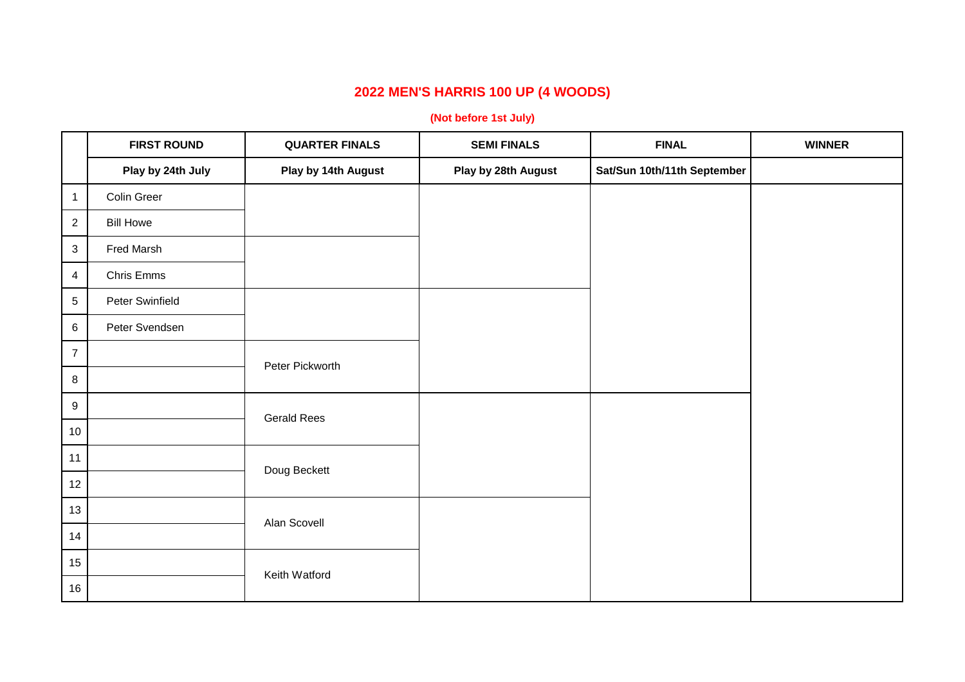### **2022 MEN'S HARRIS 100 UP (4 WOODS)**

#### **(Not before 1st July)**

|                  | <b>FIRST ROUND</b> | <b>QUARTER FINALS</b> | <b>SEMI FINALS</b>  | <b>FINAL</b>                | <b>WINNER</b> |
|------------------|--------------------|-----------------------|---------------------|-----------------------------|---------------|
|                  | Play by 24th July  | Play by 14th August   | Play by 28th August | Sat/Sun 10th/11th September |               |
| $\mathbf{1}$     | Colin Greer        |                       |                     |                             |               |
| $\overline{2}$   | <b>Bill Howe</b>   |                       |                     |                             |               |
| $\mathbf{3}$     | Fred Marsh         |                       |                     |                             |               |
| $\overline{4}$   | Chris Emms         |                       |                     |                             |               |
| 5                | Peter Swinfield    |                       |                     |                             |               |
| 6                | Peter Svendsen     |                       |                     |                             |               |
| $\overline{7}$   |                    | Peter Pickworth       |                     |                             |               |
| 8                |                    |                       |                     |                             |               |
| $\boldsymbol{9}$ |                    | <b>Gerald Rees</b>    |                     |                             |               |
| 10               |                    |                       |                     |                             |               |
| $11$             |                    | Doug Beckett          |                     |                             |               |
| 12               |                    |                       |                     |                             |               |
| 13               |                    | Alan Scovell          |                     |                             |               |
| 14               |                    |                       |                     |                             |               |
| 15               |                    | Keith Watford         |                     |                             |               |
| 16               |                    |                       |                     |                             |               |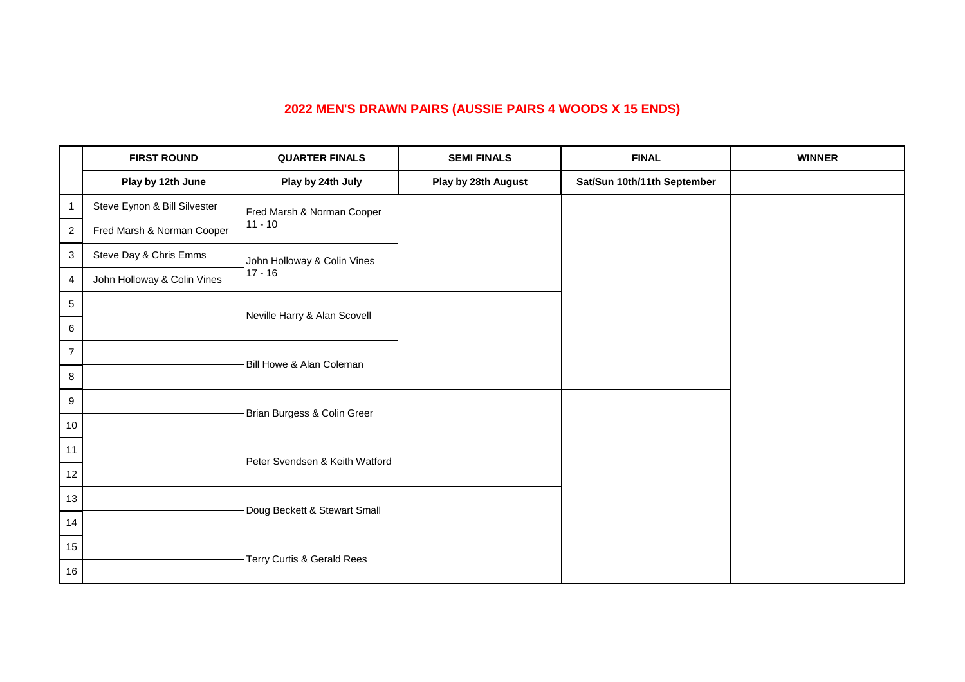#### **2022 MEN'S DRAWN PAIRS (AUSSIE PAIRS 4 WOODS X 15 ENDS)**

|                | <b>FIRST ROUND</b>           | <b>QUARTER FINALS</b>          | <b>SEMI FINALS</b>  | <b>FINAL</b>                | <b>WINNER</b> |
|----------------|------------------------------|--------------------------------|---------------------|-----------------------------|---------------|
|                | Play by 12th June            | Play by 24th July              | Play by 28th August | Sat/Sun 10th/11th September |               |
| 1              | Steve Eynon & Bill Silvester | Fred Marsh & Norman Cooper     |                     |                             |               |
| $\overline{c}$ | Fred Marsh & Norman Cooper   | $11 - 10$                      |                     |                             |               |
| 3              | Steve Day & Chris Emms       | John Holloway & Colin Vines    |                     |                             |               |
| $\overline{4}$ | John Holloway & Colin Vines  | $17 - 16$                      |                     |                             |               |
| 5              |                              | Neville Harry & Alan Scovell   |                     |                             |               |
| 6              |                              |                                |                     |                             |               |
| $\overline{7}$ |                              | Bill Howe & Alan Coleman       |                     |                             |               |
| 8              |                              |                                |                     |                             |               |
| 9              |                              | Brian Burgess & Colin Greer    |                     |                             |               |
| 10             |                              |                                |                     |                             |               |
| 11             |                              | Peter Svendsen & Keith Watford |                     |                             |               |
| 12             |                              |                                |                     |                             |               |
| 13             |                              | Doug Beckett & Stewart Small   |                     |                             |               |
| 14             |                              |                                |                     |                             |               |
| 15             |                              | Terry Curtis & Gerald Rees     |                     |                             |               |
| 16             |                              |                                |                     |                             |               |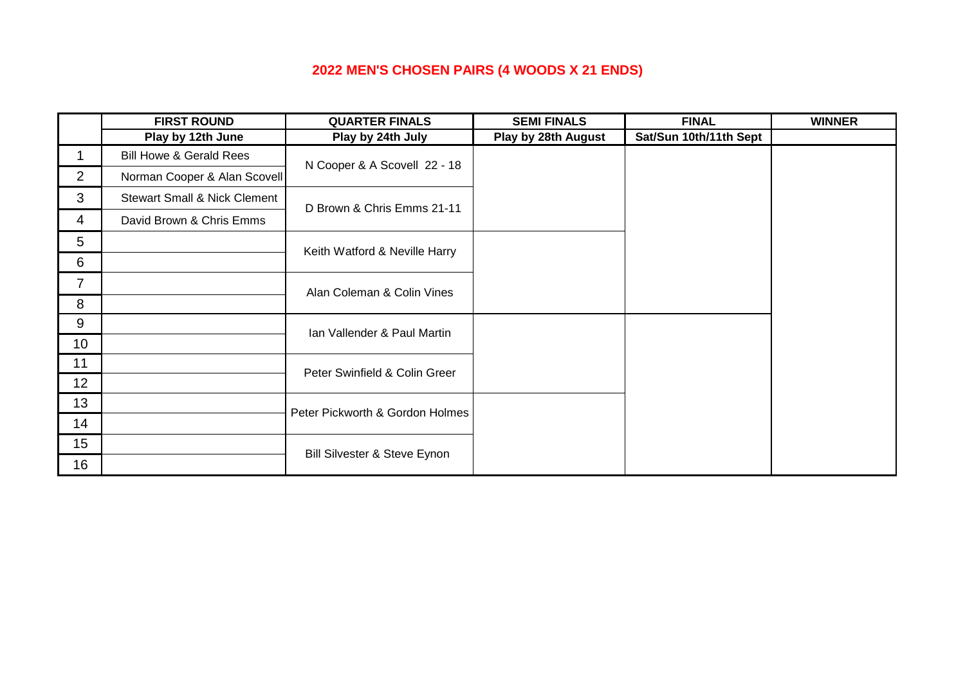### **2022 MEN'S CHOSEN PAIRS (4 WOODS X 21 ENDS)**

|                | <b>FIRST ROUND</b>                      | <b>QUARTER FINALS</b>           | <b>SEMI FINALS</b>  | <b>FINAL</b>           | <b>WINNER</b> |
|----------------|-----------------------------------------|---------------------------------|---------------------|------------------------|---------------|
|                | Play by 12th June                       | Play by 24th July               | Play by 28th August | Sat/Sun 10th/11th Sept |               |
| 1              | <b>Bill Howe &amp; Gerald Rees</b>      | N Cooper & A Scovell 22 - 18    |                     |                        |               |
| $\overline{2}$ | Norman Cooper & Alan Scovell            |                                 |                     |                        |               |
| 3              | <b>Stewart Small &amp; Nick Clement</b> | D Brown & Chris Emms 21-11      |                     |                        |               |
| 4              | David Brown & Chris Emms                |                                 |                     |                        |               |
| 5              |                                         | Keith Watford & Neville Harry   |                     |                        |               |
| 6              |                                         |                                 |                     |                        |               |
| $\overline{7}$ |                                         | Alan Coleman & Colin Vines      |                     |                        |               |
| 8              |                                         |                                 |                     |                        |               |
| 9              |                                         | Ian Vallender & Paul Martin     |                     |                        |               |
| 10             |                                         |                                 |                     |                        |               |
| 11             |                                         | Peter Swinfield & Colin Greer   |                     |                        |               |
| 12             |                                         |                                 |                     |                        |               |
| 13             |                                         | Peter Pickworth & Gordon Holmes |                     |                        |               |
| 14             |                                         |                                 |                     |                        |               |
| 15             |                                         | Bill Silvester & Steve Eynon    |                     |                        |               |
| 16             |                                         |                                 |                     |                        |               |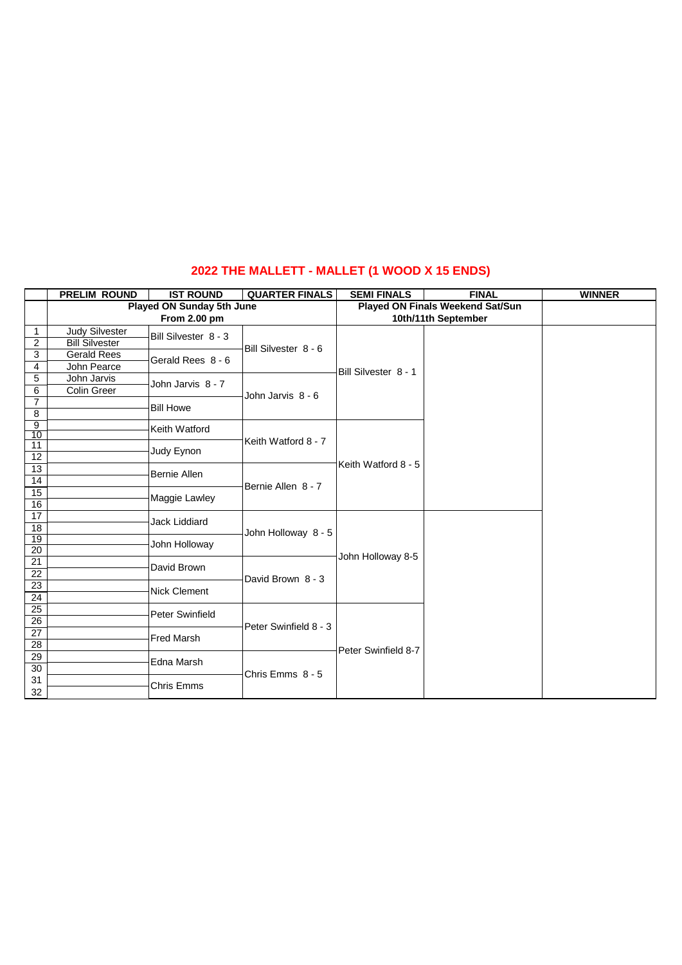#### **2022 THE MALLETT - MALLET (1 WOOD X 15 ENDS)**

|                                    | <b>PRELIM ROUND</b>              | <b>IST ROUND</b>     | <b>QUARTER FINALS</b> | <b>SEMI FINALS</b>   | <b>FINAL</b>                     | <b>WINNER</b> |
|------------------------------------|----------------------------------|----------------------|-----------------------|----------------------|----------------------------------|---------------|
|                                    | <b>Played ON Sunday 5th June</b> |                      |                       |                      | Played ON Finals Weekend Sat/Sun |               |
|                                    |                                  | From 2.00 pm         |                       |                      | 10th/11th September              |               |
| 1                                  | <b>Judy Silvester</b>            | Bill Silvester 8 - 3 |                       |                      |                                  |               |
| $\overline{c}$                     | <b>Bill Silvester</b>            |                      | Bill Silvester 8 - 6  |                      |                                  |               |
| 3                                  | <b>Gerald Rees</b>               | Gerald Rees 8 - 6    |                       |                      |                                  |               |
| 4                                  | John Pearce                      |                      |                       | Bill Silvester 8 - 1 |                                  |               |
| 5                                  | John Jarvis                      | John Jarvis 8 - 7    |                       |                      |                                  |               |
| 6                                  | Colin Greer                      |                      | John Jarvis 8 - 6     |                      |                                  |               |
| $\overline{7}$                     |                                  | <b>Bill Howe</b>     |                       |                      |                                  |               |
| 8                                  |                                  |                      |                       |                      |                                  |               |
| $\overline{9}$<br>10               |                                  | Keith Watford        |                       |                      |                                  |               |
| 11                                 |                                  |                      | Keith Watford 8 - 7   |                      |                                  |               |
| 12                                 |                                  | Judy Eynon           |                       |                      |                                  |               |
| 13                                 |                                  |                      |                       | Keith Watford 8 - 5  |                                  |               |
| $\overline{14}$                    |                                  | <b>Bernie Allen</b>  |                       |                      |                                  |               |
| 15                                 |                                  |                      | Bernie Allen 8 - 7    |                      |                                  |               |
| 16                                 |                                  | Maggie Lawley        |                       |                      |                                  |               |
| $\overline{17}$                    |                                  | Jack Liddiard        |                       |                      |                                  |               |
| 18                                 |                                  |                      | John Holloway 8 - 5   |                      |                                  |               |
| 19                                 |                                  | John Holloway        |                       |                      |                                  |               |
| 20                                 |                                  |                      |                       | John Holloway 8-5    |                                  |               |
| $\overline{21}$                    |                                  | David Brown          |                       |                      |                                  |               |
| 22                                 |                                  |                      | David Brown 8 - 3     |                      |                                  |               |
| $\overline{23}$                    |                                  | Nick Clement         |                       |                      |                                  |               |
| $\overline{24}$                    |                                  |                      |                       |                      |                                  |               |
| $\overline{25}$<br>$\overline{26}$ |                                  | Peter Swinfield      |                       |                      |                                  |               |
|                                    |                                  |                      | Peter Swinfield 8 - 3 |                      |                                  |               |
| 27<br>28                           |                                  | Fred Marsh           |                       |                      |                                  |               |
| 29                                 |                                  |                      |                       | Peter Swinfield 8-7  |                                  |               |
| 30                                 |                                  | Edna Marsh           |                       |                      |                                  |               |
| 31                                 |                                  |                      | Chris Emms 8 - 5      |                      |                                  |               |
| 32                                 |                                  | Chris Emms           |                       |                      |                                  |               |
|                                    |                                  |                      |                       |                      |                                  |               |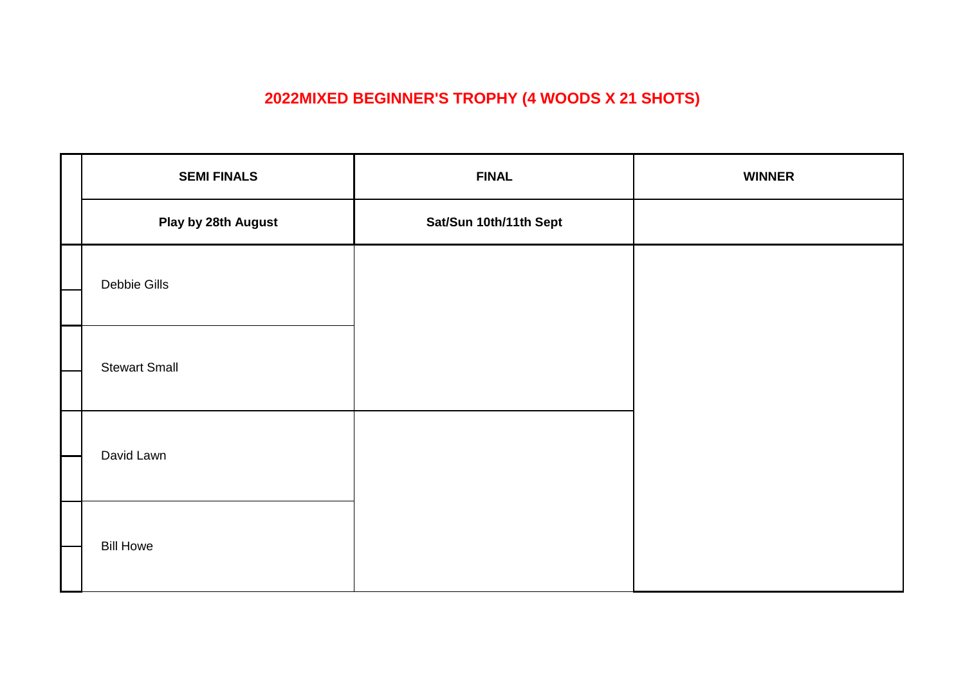## **2022MIXED BEGINNER'S TROPHY (4 WOODS X 21 SHOTS)**

| <b>SEMI FINALS</b>   | <b>FINAL</b>           | <b>WINNER</b> |
|----------------------|------------------------|---------------|
| Play by 28th August  | Sat/Sun 10th/11th Sept |               |
| Debbie Gills         |                        |               |
|                      |                        |               |
| <b>Stewart Small</b> |                        |               |
| David Lawn           |                        |               |
| <b>Bill Howe</b>     |                        |               |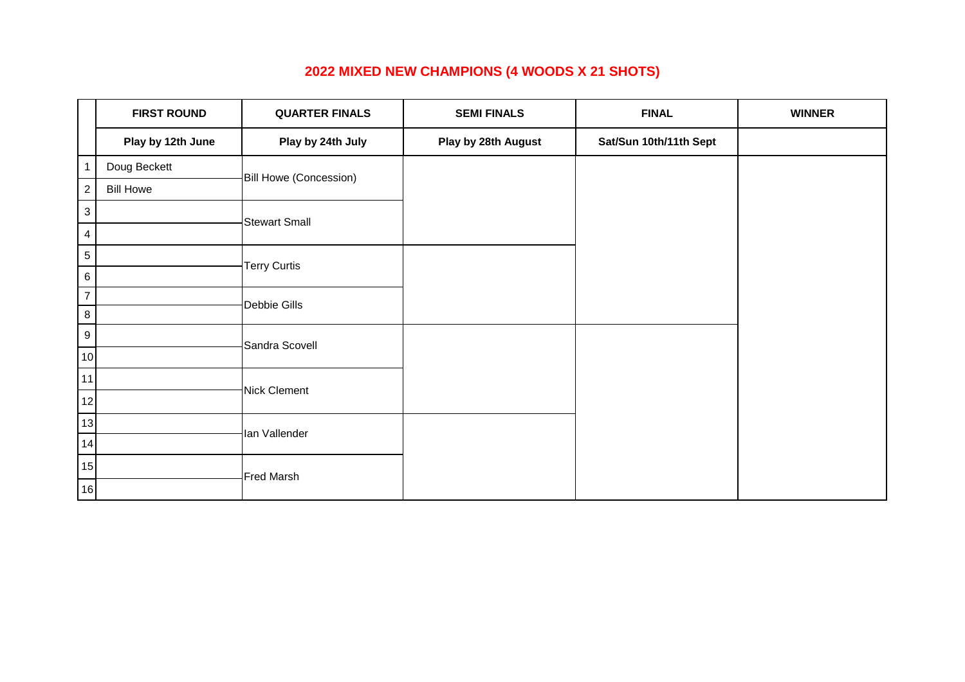## **2022 MIXED NEW CHAMPIONS (4 WOODS X 21 SHOTS)**

|                  | <b>FIRST ROUND</b> | <b>QUARTER FINALS</b>  | <b>SEMI FINALS</b>  | <b>FINAL</b>           | <b>WINNER</b> |
|------------------|--------------------|------------------------|---------------------|------------------------|---------------|
|                  | Play by 12th June  | Play by 24th July      | Play by 28th August | Sat/Sun 10th/11th Sept |               |
| $\mathbf{1}$     | Doug Beckett       | Bill Howe (Concession) |                     |                        |               |
| $\overline{a}$   | <b>Bill Howe</b>   |                        |                     |                        |               |
| 3                |                    | <b>Stewart Small</b>   |                     |                        |               |
| 4                |                    |                        |                     |                        |               |
| 5                |                    | <b>Terry Curtis</b>    |                     |                        |               |
| 6                |                    |                        |                     |                        |               |
| $\overline{7}$   |                    | Debbie Gills           |                     |                        |               |
| 8                |                    |                        |                     |                        |               |
| $\boldsymbol{9}$ |                    | Sandra Scovell         |                     |                        |               |
| 10               |                    |                        |                     |                        |               |
| 11               |                    |                        |                     |                        |               |
| 12               |                    | Nick Clement           |                     |                        |               |
| 13               |                    |                        |                     |                        |               |
| 14               |                    | lan Vallender          |                     |                        |               |
| 15               |                    |                        |                     |                        |               |
| 16               |                    | Fred Marsh             |                     |                        |               |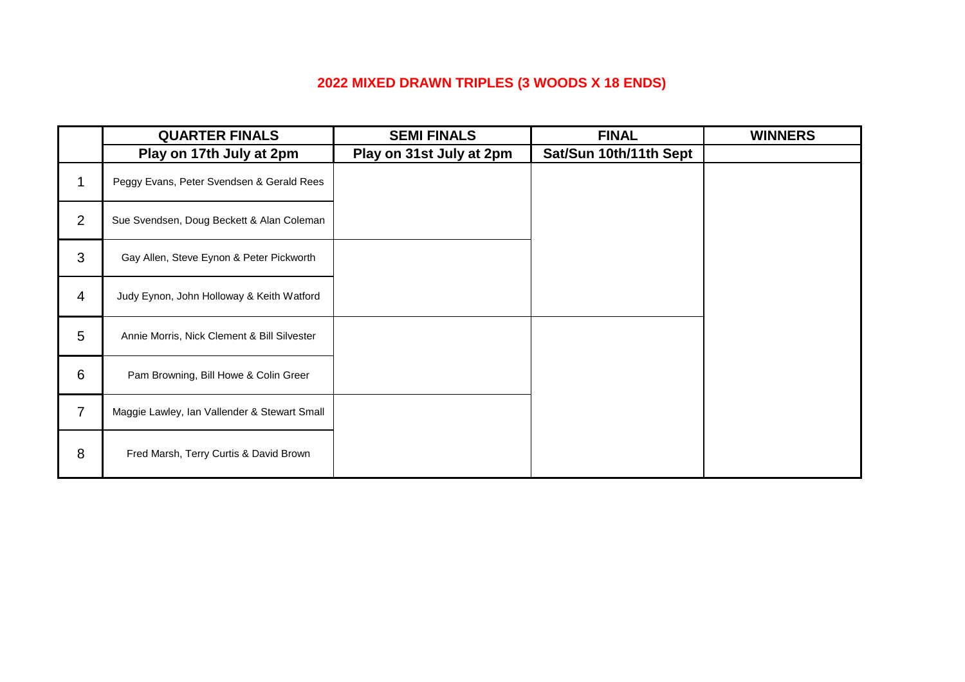## **2022 MIXED DRAWN TRIPLES (3 WOODS X 18 ENDS)**

|                | <b>QUARTER FINALS</b>                        | <b>SEMI FINALS</b>       | <b>FINAL</b>           | <b>WINNERS</b> |
|----------------|----------------------------------------------|--------------------------|------------------------|----------------|
|                | Play on 17th July at 2pm                     | Play on 31st July at 2pm | Sat/Sun 10th/11th Sept |                |
| 1              | Peggy Evans, Peter Svendsen & Gerald Rees    |                          |                        |                |
| $\overline{2}$ | Sue Svendsen, Doug Beckett & Alan Coleman    |                          |                        |                |
| 3              | Gay Allen, Steve Eynon & Peter Pickworth     |                          |                        |                |
| $\overline{4}$ | Judy Eynon, John Holloway & Keith Watford    |                          |                        |                |
| 5              | Annie Morris, Nick Clement & Bill Silvester  |                          |                        |                |
| 6              | Pam Browning, Bill Howe & Colin Greer        |                          |                        |                |
| $\overline{7}$ | Maggie Lawley, Ian Vallender & Stewart Small |                          |                        |                |
| 8              | Fred Marsh, Terry Curtis & David Brown       |                          |                        |                |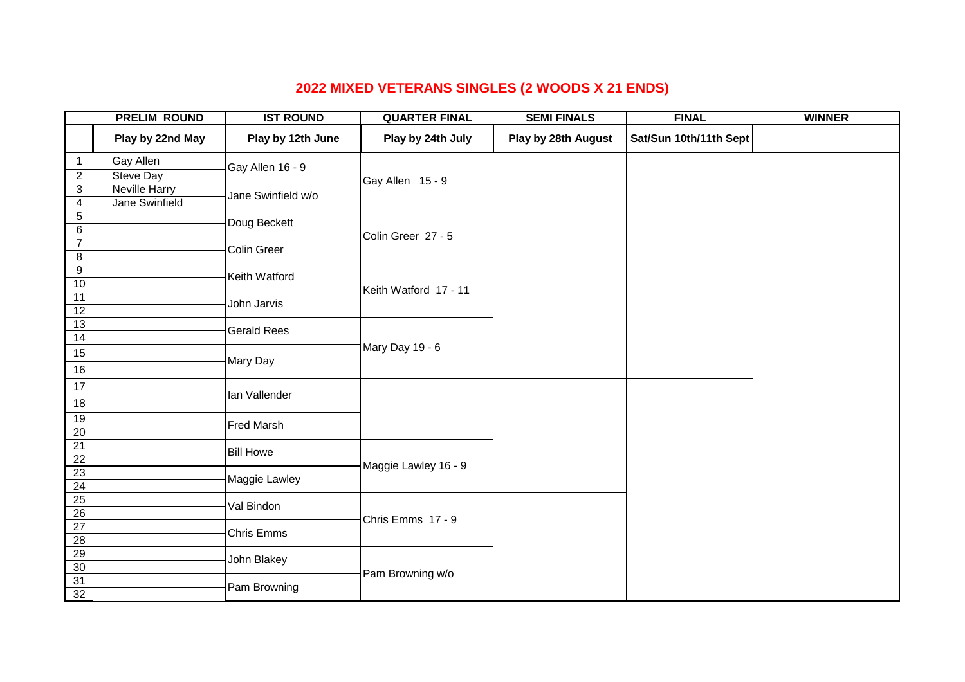## **2022 MIXED VETERANS SINGLES (2 WOODS X 21 ENDS)**

|                          | <b>PRELIM ROUND</b> | <b>IST ROUND</b>   | <b>QUARTER FINAL</b>  | <b>SEMI FINALS</b>  | <b>FINAL</b>           | <b>WINNER</b> |
|--------------------------|---------------------|--------------------|-----------------------|---------------------|------------------------|---------------|
|                          | Play by 22nd May    | Play by 12th June  | Play by 24th July     | Play by 28th August | Sat/Sun 10th/11th Sept |               |
| $\mathbf{1}$             | Gay Allen           | Gay Allen 16 - 9   |                       |                     |                        |               |
| $\mathbf{2}$             | Steve Day           |                    | Gay Allen 15 - 9      |                     |                        |               |
| 3                        | Neville Harry       | Jane Swinfield w/o |                       |                     |                        |               |
| 4                        | Jane Swinfield      |                    |                       |                     |                        |               |
| $\sqrt{5}$               |                     | Doug Beckett       |                       |                     |                        |               |
| $\,6$                    |                     |                    | Colin Greer 27 - 5    |                     |                        |               |
| $\overline{7}$           |                     | Colin Greer        |                       |                     |                        |               |
| 8                        |                     |                    |                       |                     |                        |               |
| $\boldsymbol{9}$<br>$10$ |                     | Keith Watford      |                       |                     |                        |               |
| 11                       |                     |                    | Keith Watford 17 - 11 |                     |                        |               |
| $\overline{12}$          |                     | John Jarvis        |                       |                     |                        |               |
| 13                       |                     |                    |                       |                     |                        |               |
| 14                       |                     | <b>Gerald Rees</b> |                       |                     |                        |               |
| 15                       |                     |                    | Mary Day 19 - 6       |                     |                        |               |
| 16                       |                     | Mary Day           |                       |                     |                        |               |
| $17$                     |                     |                    |                       |                     |                        |               |
| 18                       |                     | lan Vallender      |                       |                     |                        |               |
| 19                       |                     |                    |                       |                     |                        |               |
| 20                       |                     | Fred Marsh         |                       |                     |                        |               |
| 21                       |                     | <b>Bill Howe</b>   |                       |                     |                        |               |
| $\overline{22}$          |                     |                    | Maggie Lawley 16 - 9  |                     |                        |               |
| $\overline{23}$          |                     | Maggie Lawley      |                       |                     |                        |               |
| 24                       |                     |                    |                       |                     |                        |               |
| 25<br>26                 |                     | Val Bindon         |                       |                     |                        |               |
| $\overline{27}$          |                     |                    | Chris Emms 17 - 9     |                     |                        |               |
| $\overline{28}$          |                     | Chris Emms         |                       |                     |                        |               |
| 29                       |                     |                    |                       |                     |                        |               |
| 30                       |                     | John Blakey        |                       |                     |                        |               |
| 31                       |                     |                    | Pam Browning w/o      |                     |                        |               |
| 32                       |                     | Pam Browning       |                       |                     |                        |               |